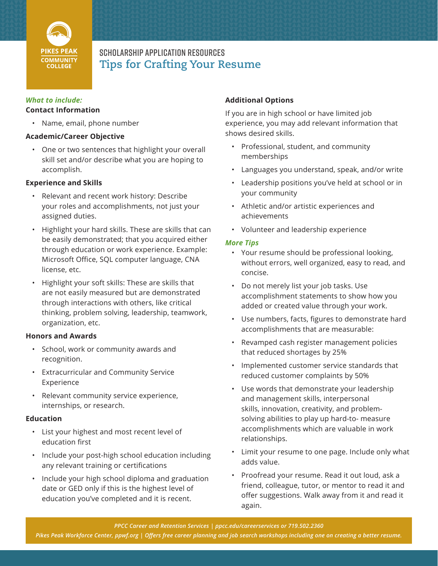

# Scholarship Application Resources **Tips for Crafting Your Resume**

### *What to include:* **Contact Information**

• Name, email, phone number

# **Academic/Career Objective**

• One or two sentences that highlight your overall skill set and/or describe what you are hoping to accomplish.

### **Experience and Skills**

- Relevant and recent work history: Describe your roles and accomplishments, not just your assigned duties.
- Highlight your hard skills. These are skills that can be easily demonstrated; that you acquired either through education or work experience. Example: Microsoft Office, SQL computer language, CNA license, etc.
- Highlight your soft skills: These are skills that are not easily measured but are demonstrated through interactions with others, like critical thinking, problem solving, leadership, teamwork, organization, etc.

# **Honors and Awards**

- School, work or community awards and recognition.
- Extracurricular and Community Service Experience
- Relevant community service experience, internships, or research.

#### **Education**

- List your highest and most recent level of education first
- Include your post-high school education including any relevant training or certifications
- Include your high school diploma and graduation date or GED only if this is the highest level of education you've completed and it is recent.

# **Additional Options**

If you are in high school or have limited job experience, you may add relevant information that shows desired skills.

- Professional, student, and community memberships
- Languages you understand, speak, and/or write
- Leadership positions you've held at school or in your community
- Athletic and/or artistic experiences and achievements
- Volunteer and leadership experience

#### *More Tips*

- Your resume should be professional looking, without errors, well organized, easy to read, and concise.
- Do not merely list your job tasks. Use accomplishment statements to show how you added or created value through your work.
- Use numbers, facts, figures to demonstrate hard accomplishments that are measurable:
- Revamped cash register management policies that reduced shortages by 25%
- Implemented customer service standards that reduced customer complaints by 50%
- Use words that demonstrate your leadership and management skills, interpersonal skills, innovation, creativity, and problemsolving abilities to play up hard-to- measure accomplishments which are valuable in work relationships.
- Limit your resume to one page. Include only what adds value.
- Proofread your resume. Read it out loud, ask a friend, colleague, tutor, or mentor to read it and offer suggestions. Walk away from it and read it again.

*Pikes Peak Workforce Center, ppwf.org | Offers free career planning and job search workshops including one on creating a better resume.*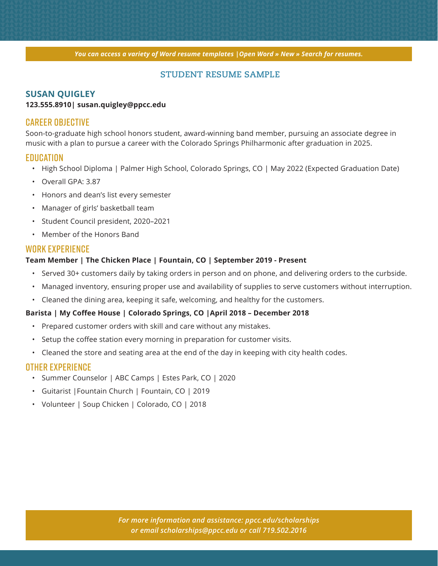*You can access a variety of Word resume templates |Open Word » New » Search for resumes.*

# **STUDENT RESUME SAMPLE**

### **SUSAN QUIGLEY**

#### **123.555.8910| susan.quigley@ppcc.edu**

### CAREER OBJECTIVE

Soon-to-graduate high school honors student, award-winning band member, pursuing an associate degree in music with a plan to pursue a career with the Colorado Springs Philharmonic after graduation in 2025.

# **EDUCATION**

- High School Diploma | Palmer High School, Colorado Springs, CO | May 2022 (Expected Graduation Date)
- Overall GPA: 3.87
- Honors and dean's list every semester
- Manager of girls' basketball team
- Student Council president, 2020–2021
- Member of the Honors Band

# WORK EXPERIENCE

#### **Team Member | The Chicken Place | Fountain, CO | September 2019 - Present**

- Served 30+ customers daily by taking orders in person and on phone, and delivering orders to the curbside.
- Managed inventory, ensuring proper use and availability of supplies to serve customers without interruption.
- Cleaned the dining area, keeping it safe, welcoming, and healthy for the customers.

#### **Barista | My Coffee House | Colorado Springs, CO |April 2018 – December 2018**

- Prepared customer orders with skill and care without any mistakes.
- Setup the coffee station every morning in preparation for customer visits.
- Cleaned the store and seating area at the end of the day in keeping with city health codes.

# OTHER EXPERIENCE

- Summer Counselor | ABC Camps | Estes Park, CO | 2020
- Guitarist |Fountain Church | Fountain, CO | 2019
- Volunteer | Soup Chicken | Colorado, CO | 2018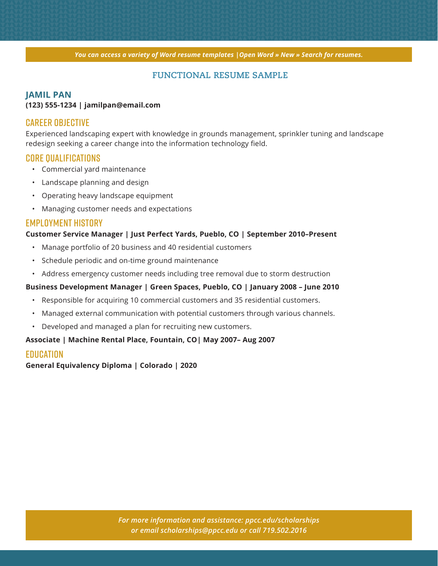*You can access a variety of Word resume templates |Open Word » New » Search for resumes.*

# **FUNCTIONAL RESUME SAMPLE**

#### **JAMIL PAN**

#### **(123) 555-1234 | jamilpan@email.com**

# CAREER OBJECTIVE

Experienced landscaping expert with knowledge in grounds management, sprinkler tuning and landscape redesign seeking a career change into the information technology field.

# CORE QUALIFICATIONS

- Commercial yard maintenance
- Landscape planning and design
- Operating heavy landscape equipment
- Managing customer needs and expectations

# EMPLOYMENT HISTORY

#### **Customer Service Manager | Just Perfect Yards, Pueblo, CO | September 2010–Present**

- Manage portfolio of 20 business and 40 residential customers
- Schedule periodic and on-time ground maintenance
- Address emergency customer needs including tree removal due to storm destruction

#### **Business Development Manager | Green Spaces, Pueblo, CO | January 2008 – June 2010**

- Responsible for acquiring 10 commercial customers and 35 residential customers.
- Managed external communication with potential customers through various channels.
- Developed and managed a plan for recruiting new customers.

#### **Associate | Machine Rental Place, Fountain, CO| May 2007– Aug 2007**

### **EDUCATION**

**General Equivalency Diploma | Colorado | 2020**